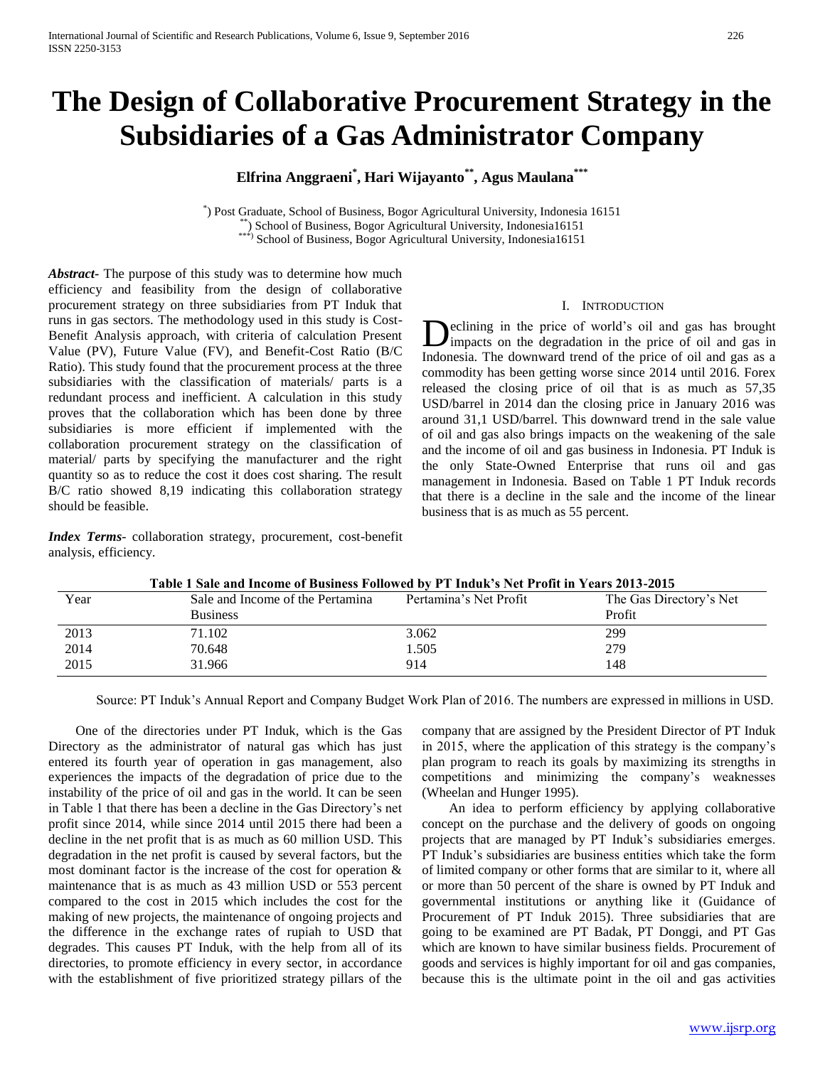# **The Design of Collaborative Procurement Strategy in the Subsidiaries of a Gas Administrator Company**

# **Elfrina Anggraeni\* , Hari Wijayanto\*\*, Agus Maulana\*\*\***

\* ) Post Graduate, School of Business, Bogor Agricultural University, Indonesia 16151 \*\*) School of Business, Bogor Agricultural University, Indonesia 16151 School of Business, Bogor Agricultural University, Indonesia16151

*Abstract***-** The purpose of this study was to determine how much efficiency and feasibility from the design of collaborative procurement strategy on three subsidiaries from PT Induk that runs in gas sectors. The methodology used in this study is Cost-Benefit Analysis approach, with criteria of calculation Present Value (PV), Future Value (FV), and Benefit-Cost Ratio (B/C Ratio). This study found that the procurement process at the three subsidiaries with the classification of materials/ parts is a redundant process and inefficient. A calculation in this study proves that the collaboration which has been done by three subsidiaries is more efficient if implemented with the collaboration procurement strategy on the classification of material/ parts by specifying the manufacturer and the right quantity so as to reduce the cost it does cost sharing. The result B/C ratio showed 8,19 indicating this collaboration strategy should be feasible.

*Index Terms*- collaboration strategy, procurement, cost-benefit analysis, efficiency.

# I. INTRODUCTION

eclining in the price of world's oil and gas has brought **D**eclining in the price of world's oil and gas has brought impacts on the degradation in the price of oil and gas in Indonesia. The downward trend of the price of oil and gas as a commodity has been getting worse since 2014 until 2016. Forex released the closing price of oil that is as much as 57,35 USD/barrel in 2014 dan the closing price in January 2016 was around 31,1 USD/barrel. This downward trend in the sale value of oil and gas also brings impacts on the weakening of the sale and the income of oil and gas business in Indonesia. PT Induk is the only State-Owned Enterprise that runs oil and gas management in Indonesia. Based on Table 1 PT Induk records that there is a decline in the sale and the income of the linear business that is as much as 55 percent.

|      | Table 1 Sale and Income of Business Followed by PT Induk's Net Profit in Years 2013-2015 |                        |                                   |  |  |  |
|------|------------------------------------------------------------------------------------------|------------------------|-----------------------------------|--|--|--|
| Year | Sale and Income of the Pertamina<br><b>Business</b>                                      | Pertamina's Net Profit | The Gas Directory's Net<br>Profit |  |  |  |
| 2013 | 71.102                                                                                   | 3.062                  | 299                               |  |  |  |
| 2014 | 70.648                                                                                   | 1.505                  | 279                               |  |  |  |
| 2015 | 31.966                                                                                   | 914                    | 148                               |  |  |  |

Source: PT Induk's Annual Report and Company Budget Work Plan of 2016. The numbers are expressed in millions in USD.

 One of the directories under PT Induk, which is the Gas Directory as the administrator of natural gas which has just entered its fourth year of operation in gas management, also experiences the impacts of the degradation of price due to the instability of the price of oil and gas in the world. It can be seen in Table 1 that there has been a decline in the Gas Directory's net profit since 2014, while since 2014 until 2015 there had been a decline in the net profit that is as much as 60 million USD. This degradation in the net profit is caused by several factors, but the most dominant factor is the increase of the cost for operation & maintenance that is as much as 43 million USD or 553 percent compared to the cost in 2015 which includes the cost for the making of new projects, the maintenance of ongoing projects and the difference in the exchange rates of rupiah to USD that degrades. This causes PT Induk, with the help from all of its directories, to promote efficiency in every sector, in accordance with the establishment of five prioritized strategy pillars of the

company that are assigned by the President Director of PT Induk in 2015, where the application of this strategy is the company's plan program to reach its goals by maximizing its strengths in competitions and minimizing the company's weaknesses (Wheelan and Hunger 1995).

 An idea to perform efficiency by applying collaborative concept on the purchase and the delivery of goods on ongoing projects that are managed by PT Induk's subsidiaries emerges. PT Induk's subsidiaries are business entities which take the form of limited company or other forms that are similar to it, where all or more than 50 percent of the share is owned by PT Induk and governmental institutions or anything like it (Guidance of Procurement of PT Induk 2015). Three subsidiaries that are going to be examined are PT Badak, PT Donggi, and PT Gas which are known to have similar business fields. Procurement of goods and services is highly important for oil and gas companies, because this is the ultimate point in the oil and gas activities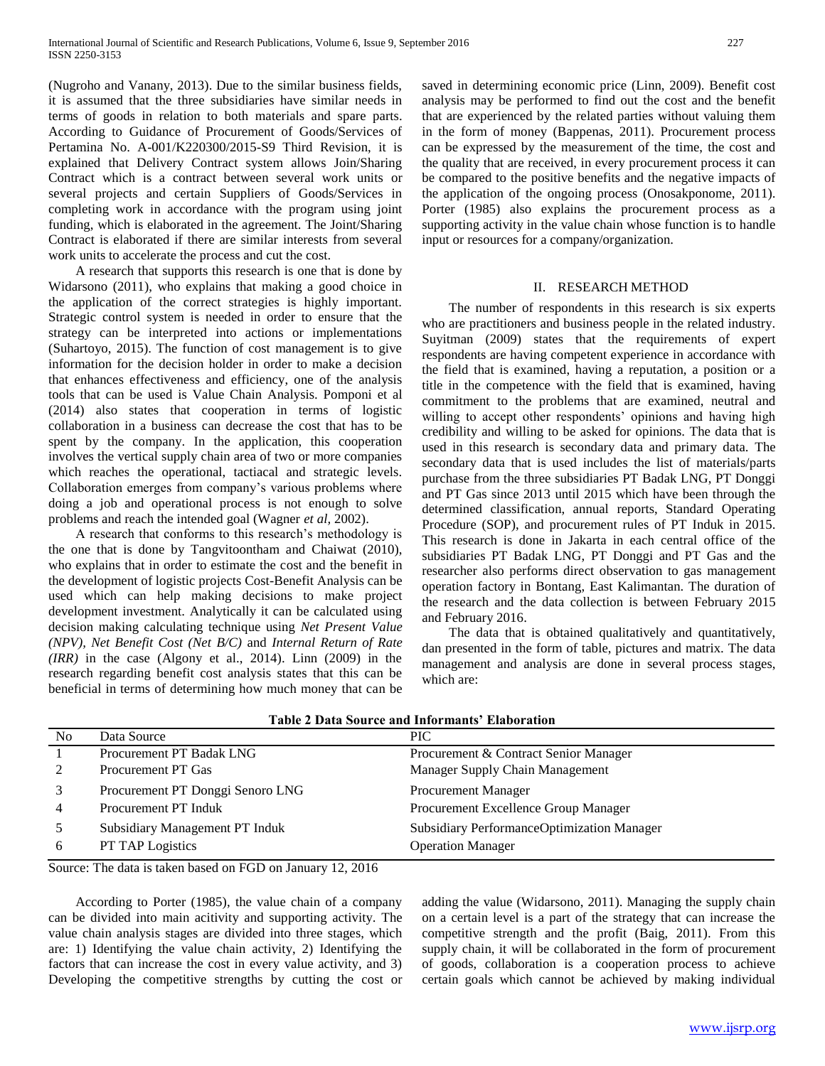(Nugroho and Vanany, 2013). Due to the similar business fields, it is assumed that the three subsidiaries have similar needs in terms of goods in relation to both materials and spare parts. According to Guidance of Procurement of Goods/Services of Pertamina No. A-001/K220300/2015-S9 Third Revision, it is explained that Delivery Contract system allows Join/Sharing Contract which is a contract between several work units or several projects and certain Suppliers of Goods/Services in completing work in accordance with the program using joint funding, which is elaborated in the agreement. The Joint/Sharing Contract is elaborated if there are similar interests from several work units to accelerate the process and cut the cost.

 A research that supports this research is one that is done by Widarsono (2011), who explains that making a good choice in the application of the correct strategies is highly important. Strategic control system is needed in order to ensure that the strategy can be interpreted into actions or implementations (Suhartoyo, 2015). The function of cost management is to give information for the decision holder in order to make a decision that enhances effectiveness and efficiency, one of the analysis tools that can be used is Value Chain Analysis. Pomponi et al (2014) also states that cooperation in terms of logistic collaboration in a business can decrease the cost that has to be spent by the company. In the application, this cooperation involves the vertical supply chain area of two or more companies which reaches the operational, tactiacal and strategic levels. Collaboration emerges from company's various problems where doing a job and operational process is not enough to solve problems and reach the intended goal (Wagner *et al,* 2002).

 A research that conforms to this research's methodology is the one that is done by Tangvitoontham and Chaiwat (2010), who explains that in order to estimate the cost and the benefit in the development of logistic projects Cost-Benefit Analysis can be used which can help making decisions to make project development investment. Analytically it can be calculated using decision making calculating technique using *Net Present Value (NPV), Net Benefit Cost (Net B/C)* and *Internal Return of Rate (IRR)* in the case (Algony et al., 2014). Linn (2009) in the research regarding benefit cost analysis states that this can be beneficial in terms of determining how much money that can be saved in determining economic price (Linn, 2009). Benefit cost analysis may be performed to find out the cost and the benefit that are experienced by the related parties without valuing them in the form of money (Bappenas, 2011). Procurement process can be expressed by the measurement of the time, the cost and the quality that are received, in every procurement process it can be compared to the positive benefits and the negative impacts of the application of the ongoing process (Onosakponome, 2011). Porter (1985) also explains the procurement process as a supporting activity in the value chain whose function is to handle input or resources for a company/organization.

# II. RESEARCH METHOD

 The number of respondents in this research is six experts who are practitioners and business people in the related industry. Suyitman (2009) states that the requirements of expert respondents are having competent experience in accordance with the field that is examined, having a reputation, a position or a title in the competence with the field that is examined, having commitment to the problems that are examined, neutral and willing to accept other respondents' opinions and having high credibility and willing to be asked for opinions. The data that is used in this research is secondary data and primary data. The secondary data that is used includes the list of materials/parts purchase from the three subsidiaries PT Badak LNG, PT Donggi and PT Gas since 2013 until 2015 which have been through the determined classification, annual reports, Standard Operating Procedure (SOP), and procurement rules of PT Induk in 2015. This research is done in Jakarta in each central office of the subsidiaries PT Badak LNG, PT Donggi and PT Gas and the researcher also performs direct observation to gas management operation factory in Bontang, East Kalimantan. The duration of the research and the data collection is between February 2015 and February 2016.

 The data that is obtained qualitatively and quantitatively, dan presented in the form of table, pictures and matrix. The data management and analysis are done in several process stages, which are:

|                | TANIV S D'AMA QUALVE AIRE IIIIVI IIIMIINI. TIMMULAMUDI |                                            |  |  |  |  |
|----------------|--------------------------------------------------------|--------------------------------------------|--|--|--|--|
| N <sub>0</sub> | Data Source                                            | <b>PIC</b>                                 |  |  |  |  |
|                | Procurement PT Badak LNG                               | Procurement & Contract Senior Manager      |  |  |  |  |
|                | Procurement PT Gas                                     | Manager Supply Chain Management            |  |  |  |  |
|                | Procurement PT Donggi Senoro LNG                       | <b>Procurement Manager</b>                 |  |  |  |  |
|                | Procurement PT Induk                                   | Procurement Excellence Group Manager       |  |  |  |  |
|                | Subsidiary Management PT Induk                         | Subsidiary PerformanceOptimization Manager |  |  |  |  |
|                | PT TAP Logistics                                       | <b>Operation Manager</b>                   |  |  |  |  |
|                |                                                        |                                            |  |  |  |  |

**Table 2 Data Source and Informants' Elaboration**

Source: The data is taken based on FGD on January 12, 2016

 According to Porter (1985), the value chain of a company can be divided into main acitivity and supporting activity. The value chain analysis stages are divided into three stages, which are: 1) Identifying the value chain activity, 2) Identifying the factors that can increase the cost in every value activity, and 3) Developing the competitive strengths by cutting the cost or

adding the value (Widarsono, 2011). Managing the supply chain on a certain level is a part of the strategy that can increase the competitive strength and the profit (Baig, 2011). From this supply chain, it will be collaborated in the form of procurement of goods, collaboration is a cooperation process to achieve certain goals which cannot be achieved by making individual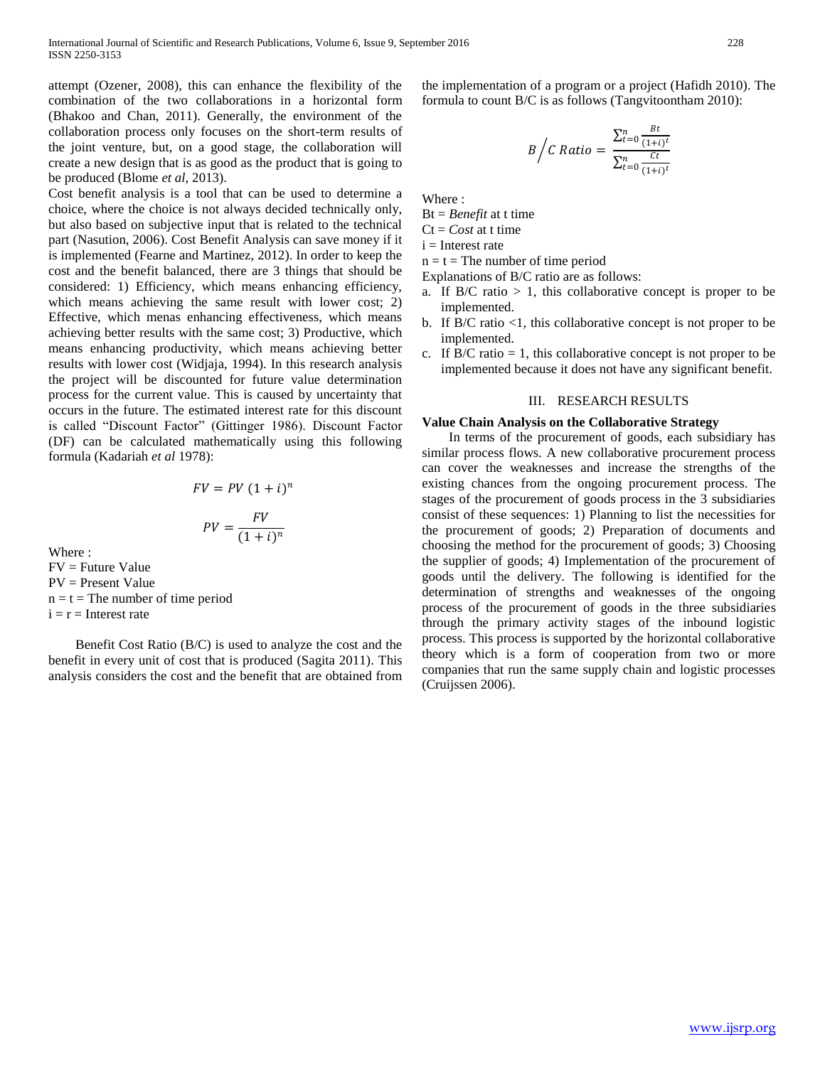attempt (Ozener, 2008), this can enhance the flexibility of the combination of the two collaborations in a horizontal form (Bhakoo and Chan, 2011). Generally, the environment of the collaboration process only focuses on the short-term results of the joint venture, but, on a good stage, the collaboration will create a new design that is as good as the product that is going to be produced (Blome *et al*, 2013).

Cost benefit analysis is a tool that can be used to determine a choice, where the choice is not always decided technically only, but also based on subjective input that is related to the technical part (Nasution, 2006). Cost Benefit Analysis can save money if it is implemented (Fearne and Martinez, 2012). In order to keep the cost and the benefit balanced, there are 3 things that should be considered: 1) Efficiency, which means enhancing efficiency, which means achieving the same result with lower cost; 2) Effective, which menas enhancing effectiveness, which means achieving better results with the same cost; 3) Productive, which means enhancing productivity, which means achieving better results with lower cost (Widjaja, 1994). In this research analysis the project will be discounted for future value determination process for the current value. This is caused by uncertainty that occurs in the future. The estimated interest rate for this discount is called "Discount Factor" (Gittinger 1986). Discount Factor (DF) can be calculated mathematically using this following formula (Kadariah *et al* 1978):

$$
FV = PV (1 + i)^n
$$

$$
PV = \frac{FV}{(1 + i)^n}
$$

Where  $\cdot$ FV = Future Value PV = Present Value  $n = t =$ The number of time period  $i = r =$  Interest rate

 Benefit Cost Ratio (B/C) is used to analyze the cost and the benefit in every unit of cost that is produced (Sagita 2011). This analysis considers the cost and the benefit that are obtained from the implementation of a program or a project (Hafidh 2010). The formula to count B/C is as follows (Tangvitoontham 2010):

$$
B\bigg/C \; Ratio = \frac{\sum_{t=0}^{n} \frac{Bt}{(1+i)^t}}{\sum_{t=0}^{n} \frac{Ct}{(1+i)^t}}
$$

Where :

Bt = *Benefit* at t time

 $Ct = Cost$  at t time

 $i =$ Interest rate

 $n = t$  = The number of time period

Explanations of B/C ratio are as follows:

- a. If  $B/C$  ratio  $> 1$ , this collaborative concept is proper to be implemented.
- b. If B/C ratio  $\leq 1$ , this collaborative concept is not proper to be implemented.
- c. If  $B/C$  ratio = 1, this collaborative concept is not proper to be implemented because it does not have any significant benefit.

### III. RESEARCH RESULTS

# **Value Chain Analysis on the Collaborative Strategy**

 In terms of the procurement of goods, each subsidiary has similar process flows. A new collaborative procurement process can cover the weaknesses and increase the strengths of the existing chances from the ongoing procurement process. The stages of the procurement of goods process in the 3 subsidiaries consist of these sequences: 1) Planning to list the necessities for the procurement of goods; 2) Preparation of documents and choosing the method for the procurement of goods; 3) Choosing the supplier of goods; 4) Implementation of the procurement of goods until the delivery. The following is identified for the determination of strengths and weaknesses of the ongoing process of the procurement of goods in the three subsidiaries through the primary activity stages of the inbound logistic process. This process is supported by the horizontal collaborative theory which is a form of cooperation from two or more companies that run the same supply chain and logistic processes (Cruijssen 2006).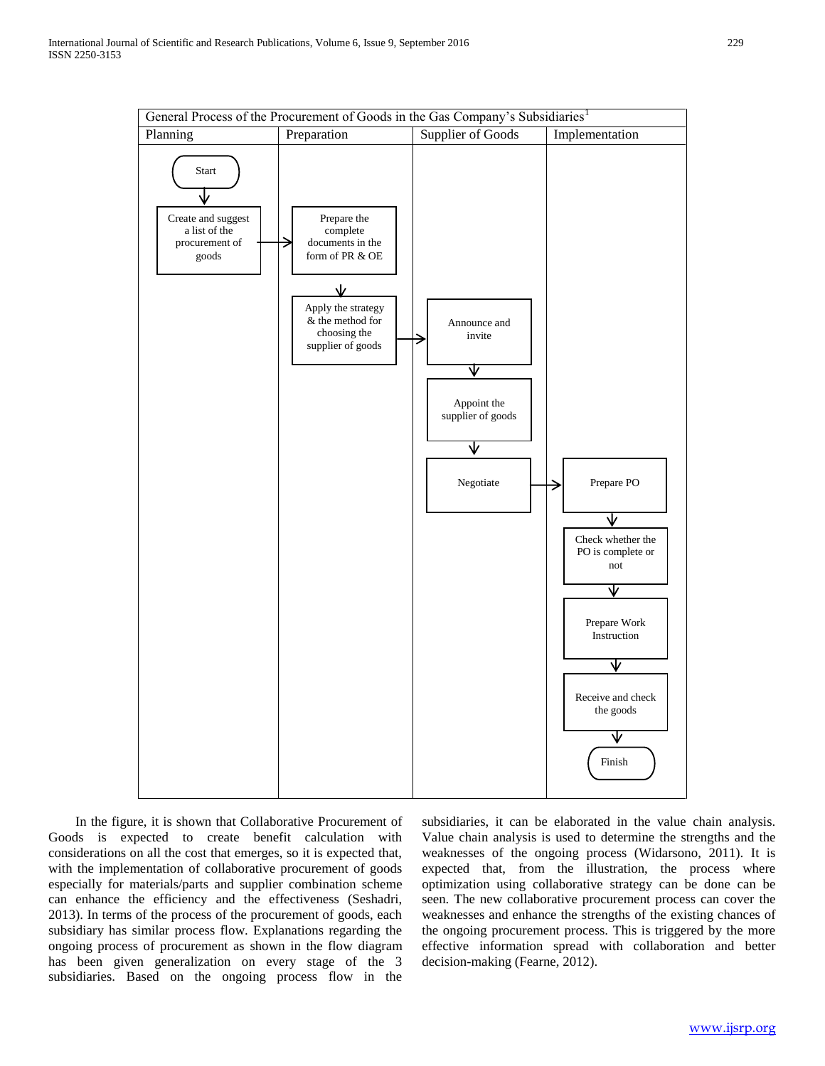

 In the figure, it is shown that Collaborative Procurement of Goods is expected to create benefit calculation with considerations on all the cost that emerges, so it is expected that, with the implementation of collaborative procurement of goods especially for materials/parts and supplier combination scheme can enhance the efficiency and the effectiveness (Seshadri, 2013). In terms of the process of the procurement of goods, each subsidiary has similar process flow. Explanations regarding the ongoing process of procurement as shown in the flow diagram has been given generalization on every stage of the 3 subsidiaries. Based on the ongoing process flow in the

subsidiaries, it can be elaborated in the value chain analysis. Value chain analysis is used to determine the strengths and the weaknesses of the ongoing process (Widarsono, 2011). It is expected that, from the illustration, the process where optimization using collaborative strategy can be done can be seen. The new collaborative procurement process can cover the weaknesses and enhance the strengths of the existing chances of the ongoing procurement process. This is triggered by the more effective information spread with collaboration and better decision-making (Fearne, 2012).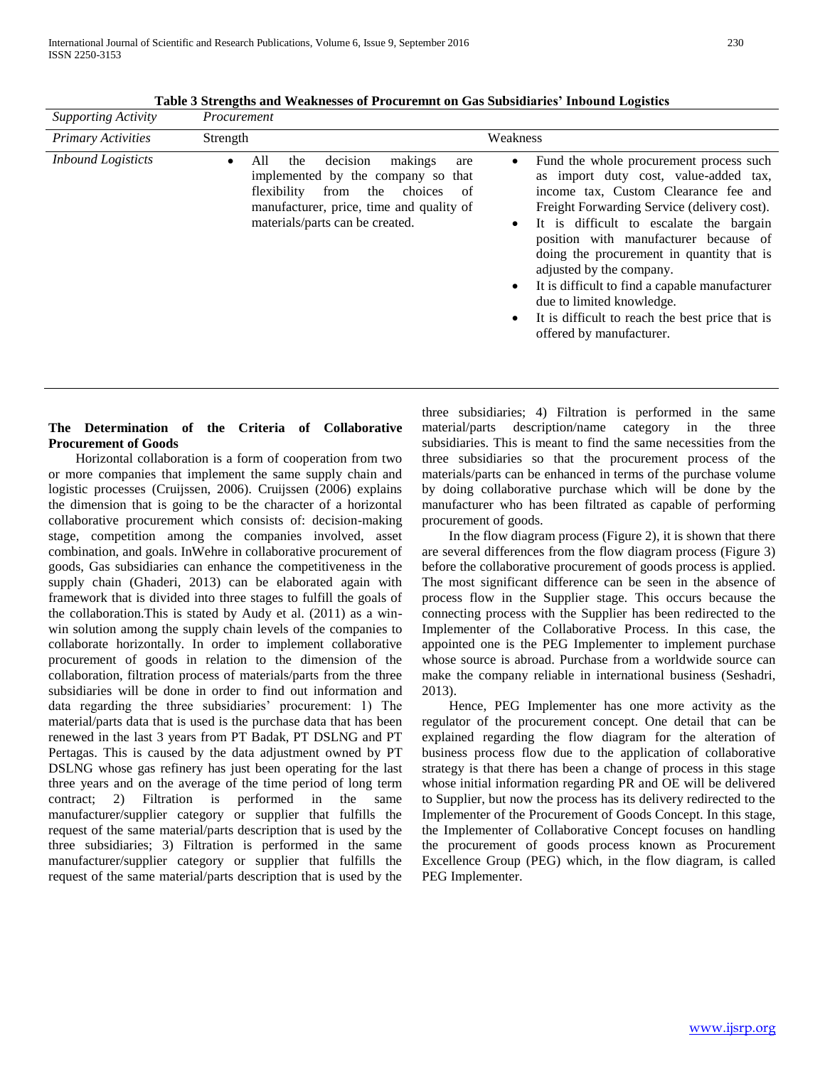| <b>Supporting Activity</b> | Procurement                                                                                                                                                                                                               |                                                                                                                                                                                                                                                                                                                                                                                                                                                                                                                                           |
|----------------------------|---------------------------------------------------------------------------------------------------------------------------------------------------------------------------------------------------------------------------|-------------------------------------------------------------------------------------------------------------------------------------------------------------------------------------------------------------------------------------------------------------------------------------------------------------------------------------------------------------------------------------------------------------------------------------------------------------------------------------------------------------------------------------------|
| <b>Primary Activities</b>  | Strength                                                                                                                                                                                                                  | Weakness                                                                                                                                                                                                                                                                                                                                                                                                                                                                                                                                  |
| <b>Inbound Logisticts</b>  | decision<br>All<br>makings<br>the<br>$\bullet$<br>are<br>implemented by the company so that<br>flexibility<br>from<br>the<br>choices<br>of<br>manufacturer, price, time and quality of<br>materials/parts can be created. | Fund the whole procurement process such<br>$\bullet$<br>as import duty cost, value-added tax,<br>income tax, Custom Clearance fee and<br>Freight Forwarding Service (delivery cost).<br>It is difficult to escalate the bargain<br>$\bullet$<br>position with manufacturer because of<br>doing the procurement in quantity that is<br>adjusted by the company.<br>It is difficult to find a capable manufacturer<br>$\bullet$<br>due to limited knowledge.<br>It is difficult to reach the best price that is<br>offered by manufacturer. |

**Table 3 Strengths and Weaknesses of Procuremnt on Gas Subsidiaries' Inbound Logistics**

# **The Determination of the Criteria of Collaborative Procurement of Goods**

 Horizontal collaboration is a form of cooperation from two or more companies that implement the same supply chain and logistic processes (Cruijssen, 2006). Cruijssen (2006) explains the dimension that is going to be the character of a horizontal collaborative procurement which consists of: decision-making stage, competition among the companies involved, asset combination, and goals. InWehre in collaborative procurement of goods, Gas subsidiaries can enhance the competitiveness in the supply chain (Ghaderi, 2013) can be elaborated again with framework that is divided into three stages to fulfill the goals of the collaboration.This is stated by Audy et al. (2011) as a winwin solution among the supply chain levels of the companies to collaborate horizontally. In order to implement collaborative procurement of goods in relation to the dimension of the collaboration, filtration process of materials/parts from the three subsidiaries will be done in order to find out information and data regarding the three subsidiaries' procurement: 1) The material/parts data that is used is the purchase data that has been renewed in the last 3 years from PT Badak, PT DSLNG and PT Pertagas. This is caused by the data adjustment owned by PT DSLNG whose gas refinery has just been operating for the last three years and on the average of the time period of long term contract; 2) Filtration is performed in the same manufacturer/supplier category or supplier that fulfills the request of the same material/parts description that is used by the three subsidiaries; 3) Filtration is performed in the same manufacturer/supplier category or supplier that fulfills the request of the same material/parts description that is used by the

three subsidiaries; 4) Filtration is performed in the same material/parts description/name category in the three subsidiaries. This is meant to find the same necessities from the three subsidiaries so that the procurement process of the materials/parts can be enhanced in terms of the purchase volume by doing collaborative purchase which will be done by the manufacturer who has been filtrated as capable of performing procurement of goods.

 In the flow diagram process (Figure 2), it is shown that there are several differences from the flow diagram process (Figure 3) before the collaborative procurement of goods process is applied. The most significant difference can be seen in the absence of process flow in the Supplier stage. This occurs because the connecting process with the Supplier has been redirected to the Implementer of the Collaborative Process. In this case, the appointed one is the PEG Implementer to implement purchase whose source is abroad. Purchase from a worldwide source can make the company reliable in international business (Seshadri, 2013).

 Hence, PEG Implementer has one more activity as the regulator of the procurement concept. One detail that can be explained regarding the flow diagram for the alteration of business process flow due to the application of collaborative strategy is that there has been a change of process in this stage whose initial information regarding PR and OE will be delivered to Supplier, but now the process has its delivery redirected to the Implementer of the Procurement of Goods Concept. In this stage, the Implementer of Collaborative Concept focuses on handling the procurement of goods process known as Procurement Excellence Group (PEG) which, in the flow diagram, is called PEG Implementer.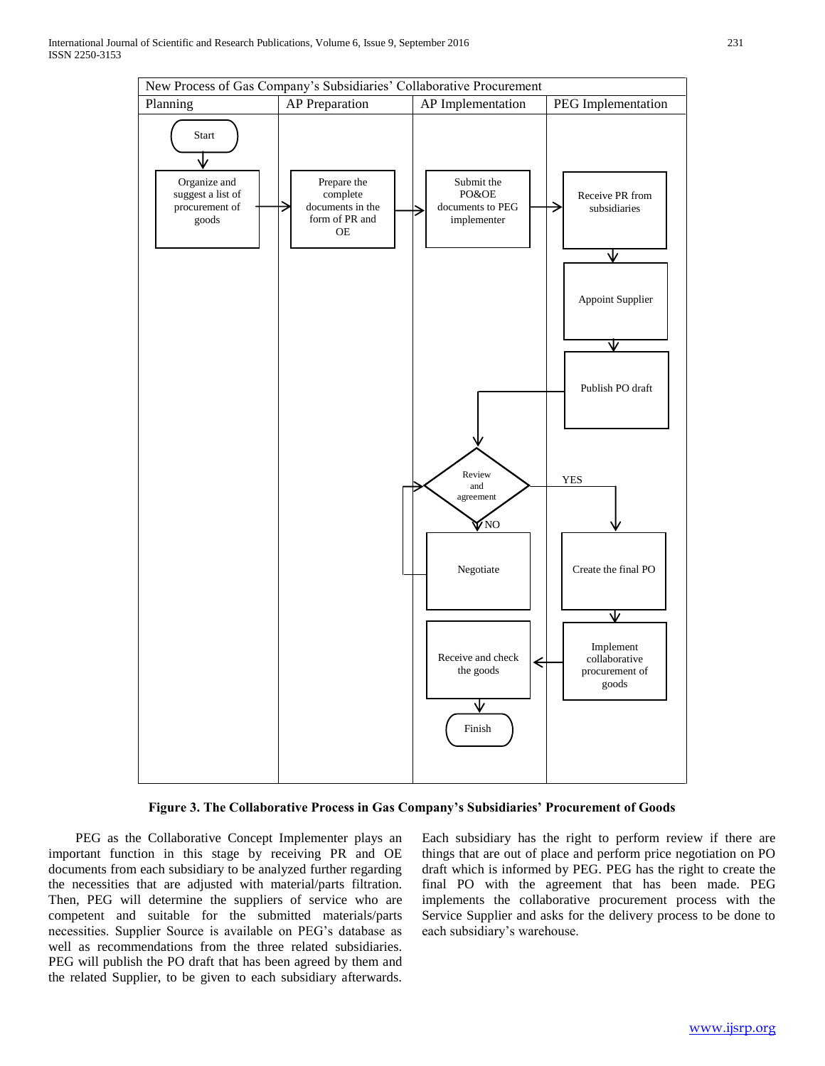

# **Figure 3. The Collaborative Process in Gas Company's Subsidiaries' Procurement of Goods**

 PEG as the Collaborative Concept Implementer plays an important function in this stage by receiving PR and OE documents from each subsidiary to be analyzed further regarding the necessities that are adjusted with material/parts filtration. Then, PEG will determine the suppliers of service who are competent and suitable for the submitted materials/parts necessities. Supplier Source is available on PEG's database as well as recommendations from the three related subsidiaries. PEG will publish the PO draft that has been agreed by them and the related Supplier, to be given to each subsidiary afterwards.

Each subsidiary has the right to perform review if there are things that are out of place and perform price negotiation on PO draft which is informed by PEG. PEG has the right to create the final PO with the agreement that has been made. PEG implements the collaborative procurement process with the Service Supplier and asks for the delivery process to be done to each subsidiary's warehouse.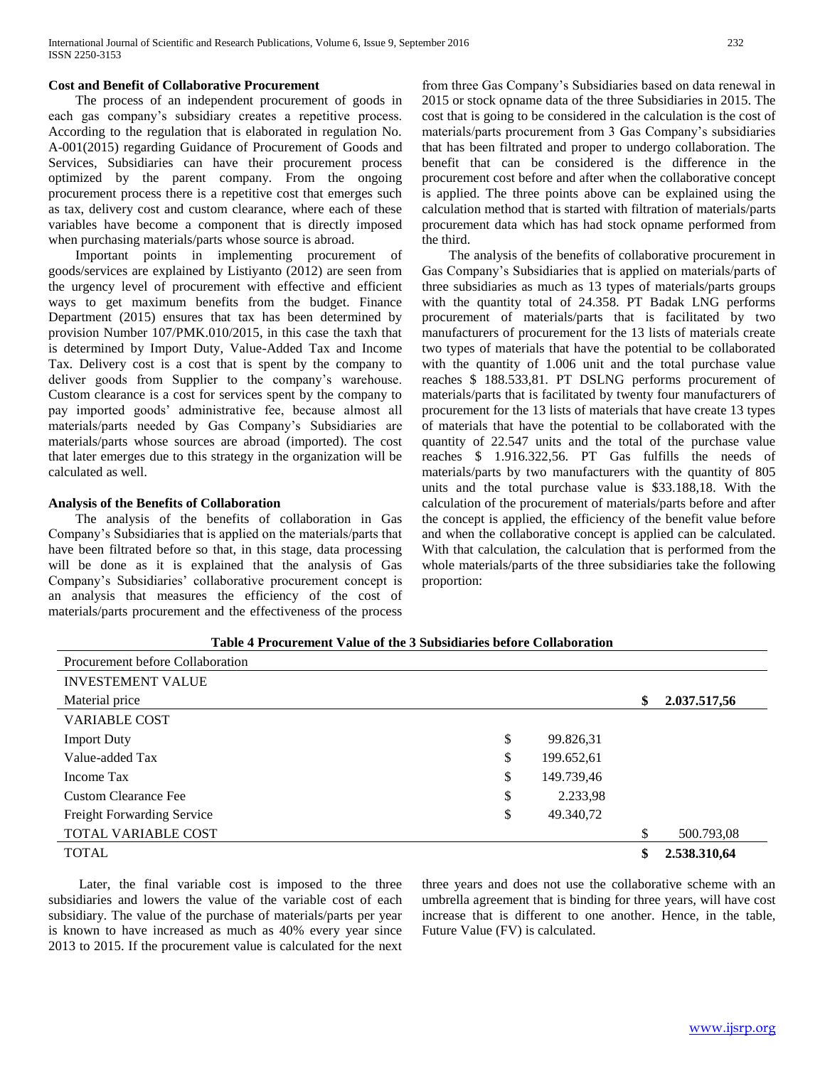# **Cost and Benefit of Collaborative Procurement**

 The process of an independent procurement of goods in each gas company's subsidiary creates a repetitive process. According to the regulation that is elaborated in regulation No. A-001(2015) regarding Guidance of Procurement of Goods and Services, Subsidiaries can have their procurement process optimized by the parent company. From the ongoing procurement process there is a repetitive cost that emerges such as tax, delivery cost and custom clearance, where each of these variables have become a component that is directly imposed when purchasing materials/parts whose source is abroad.

 Important points in implementing procurement of goods/services are explained by Listiyanto (2012) are seen from the urgency level of procurement with effective and efficient ways to get maximum benefits from the budget. Finance Department (2015) ensures that tax has been determined by provision Number 107/PMK.010/2015, in this case the taxh that is determined by Import Duty, Value-Added Tax and Income Tax. Delivery cost is a cost that is spent by the company to deliver goods from Supplier to the company's warehouse. Custom clearance is a cost for services spent by the company to pay imported goods' administrative fee, because almost all materials/parts needed by Gas Company's Subsidiaries are materials/parts whose sources are abroad (imported). The cost that later emerges due to this strategy in the organization will be calculated as well.

# **Analysis of the Benefits of Collaboration**

 The analysis of the benefits of collaboration in Gas Company's Subsidiaries that is applied on the materials/parts that have been filtrated before so that, in this stage, data processing will be done as it is explained that the analysis of Gas Company's Subsidiaries' collaborative procurement concept is an analysis that measures the efficiency of the cost of materials/parts procurement and the effectiveness of the process

from three Gas Company's Subsidiaries based on data renewal in 2015 or stock opname data of the three Subsidiaries in 2015. The cost that is going to be considered in the calculation is the cost of materials/parts procurement from 3 Gas Company's subsidiaries that has been filtrated and proper to undergo collaboration. The benefit that can be considered is the difference in the procurement cost before and after when the collaborative concept is applied. The three points above can be explained using the calculation method that is started with filtration of materials/parts procurement data which has had stock opname performed from the third.

 The analysis of the benefits of collaborative procurement in Gas Company's Subsidiaries that is applied on materials/parts of three subsidiaries as much as 13 types of materials/parts groups with the quantity total of 24.358. PT Badak LNG performs procurement of materials/parts that is facilitated by two manufacturers of procurement for the 13 lists of materials create two types of materials that have the potential to be collaborated with the quantity of 1.006 unit and the total purchase value reaches \$ 188.533,81. PT DSLNG performs procurement of materials/parts that is facilitated by twenty four manufacturers of procurement for the 13 lists of materials that have create 13 types of materials that have the potential to be collaborated with the quantity of 22.547 units and the total of the purchase value reaches \$ 1.916.322,56. PT Gas fulfills the needs of materials/parts by two manufacturers with the quantity of 805 units and the total purchase value is \$33.188,18. With the calculation of the procurement of materials/parts before and after the concept is applied, the efficiency of the benefit value before and when the collaborative concept is applied can be calculated. With that calculation, the calculation that is performed from the whole materials/parts of the three subsidiaries take the following proportion:

| Table 4 Procurement Value of the 3 Subsidiaries before Collaboration |  |
|----------------------------------------------------------------------|--|
|                                                                      |  |

| Procurement before Collaboration  |                  |                    |
|-----------------------------------|------------------|--------------------|
| <b>INVESTEMENT VALUE</b>          |                  |                    |
| Material price                    |                  | \$<br>2.037.517,56 |
| <b>VARIABLE COST</b>              |                  |                    |
| <b>Import Duty</b>                | \$<br>99.826,31  |                    |
| Value-added Tax                   | \$<br>199.652,61 |                    |
| Income Tax                        | \$<br>149.739,46 |                    |
| <b>Custom Clearance Fee</b>       | \$<br>2.233,98   |                    |
| <b>Freight Forwarding Service</b> | \$<br>49.340,72  |                    |
| <b>TOTAL VARIABLE COST</b>        |                  | \$<br>500.793,08   |
| <b>TOTAL</b>                      |                  | 2.538.310,64       |

 Later, the final variable cost is imposed to the three subsidiaries and lowers the value of the variable cost of each subsidiary. The value of the purchase of materials/parts per year is known to have increased as much as 40% every year since 2013 to 2015. If the procurement value is calculated for the next

three years and does not use the collaborative scheme with an umbrella agreement that is binding for three years, will have cost increase that is different to one another. Hence, in the table, Future Value (FV) is calculated.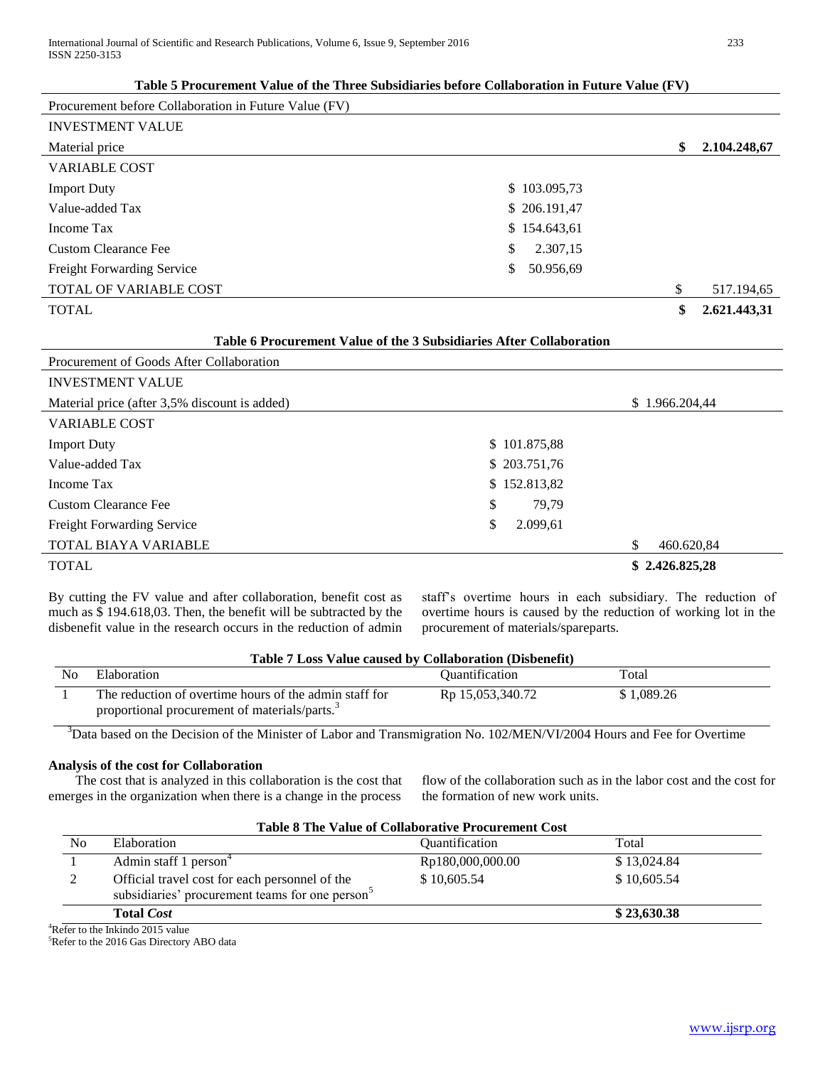# **Table 5 Procurement Value of the Three Subsidiaries before Collaboration in Future Value (FV)**

| Procurement before Collaboration in Future Value (FV) |                 |                    |
|-------------------------------------------------------|-----------------|--------------------|
| <b>INVESTMENT VALUE</b>                               |                 |                    |
| Material price                                        |                 | \$<br>2.104.248,67 |
| <b>VARIABLE COST</b>                                  |                 |                    |
| <b>Import Duty</b>                                    | \$103.095,73    |                    |
| Value-added Tax                                       | \$206.191,47    |                    |
| Income Tax                                            | \$154.643,61    |                    |
| Custom Clearance Fee                                  | \$<br>2.307,15  |                    |
| Freight Forwarding Service                            | \$<br>50.956,69 |                    |
| TOTAL OF VARIABLE COST                                |                 | \$<br>517.194,65   |
| <b>TOTAL</b>                                          |                 | \$<br>2.621.443,31 |

# **Table 6 Procurement Value of the 3 Subsidiaries After Collaboration**

| Procurement of Goods After Collaboration      |                |                  |
|-----------------------------------------------|----------------|------------------|
| <b>INVESTMENT VALUE</b>                       |                |                  |
| Material price (after 3,5% discount is added) |                | \$1.966.204.44   |
| <b>VARIABLE COST</b>                          |                |                  |
| <b>Import Duty</b>                            | \$101.875,88   |                  |
| Value-added Tax                               | \$203.751,76   |                  |
| Income Tax                                    | \$152.813,82   |                  |
| <b>Custom Clearance Fee</b>                   | \$<br>79,79    |                  |
| <b>Freight Forwarding Service</b>             | \$<br>2.099,61 |                  |
| TOTAL BIAYA VARIABLE                          |                | \$<br>460.620,84 |
| <b>TOTAL</b>                                  |                | \$2.426.825,28   |

By cutting the FV value and after collaboration, benefit cost as much as \$ 194.618,03. Then, the benefit will be subtracted by the disbenefit value in the research occurs in the reduction of admin staff's overtime hours in each subsidiary. The reduction of overtime hours is caused by the reduction of working lot in the procurement of materials/spareparts.

| Table 7 Loss Value caused by Collaboration (Disbenefit) |                                                                                                                     |                                     |            |  |
|---------------------------------------------------------|---------------------------------------------------------------------------------------------------------------------|-------------------------------------|------------|--|
| No                                                      | Elaboration                                                                                                         | <i><u><b>Ouantification</b></u></i> | Total      |  |
|                                                         | The reduction of overtime hours of the admin staff for<br>proportional procurement of materials/parts. <sup>3</sup> | R <sub>p</sub> 15,053,340.72        | \$1.089.26 |  |

 $3$ Data based on the Decision of the Minister of Labor and Transmigration No. 102/MEN/VI/2004 Hours and Fee for Overtime

# **Analysis of the cost for Collaboration**

 The cost that is analyzed in this collaboration is the cost that emerges in the organization when there is a change in the process flow of the collaboration such as in the labor cost and the cost for the formation of new work units.

| N <sub>0</sub><br>Elaboration                                                                                 | <i><b>Ouantification</b></i> | Total       |
|---------------------------------------------------------------------------------------------------------------|------------------------------|-------------|
| Admin staff 1 person <sup>4</sup>                                                                             | Rp180,000,000.00             | \$13,024.84 |
| Official travel cost for each personnel of the<br>subsidiaries' procurement teams for one person <sup>5</sup> | \$10,605.54                  | \$10,605.54 |
| <b>Total Cost</b>                                                                                             |                              | \$23,630.38 |

<sup>4</sup>Refer to the Inkindo 2015 value <sup>5</sup>Refer to the 2016 Gas Directory ABO data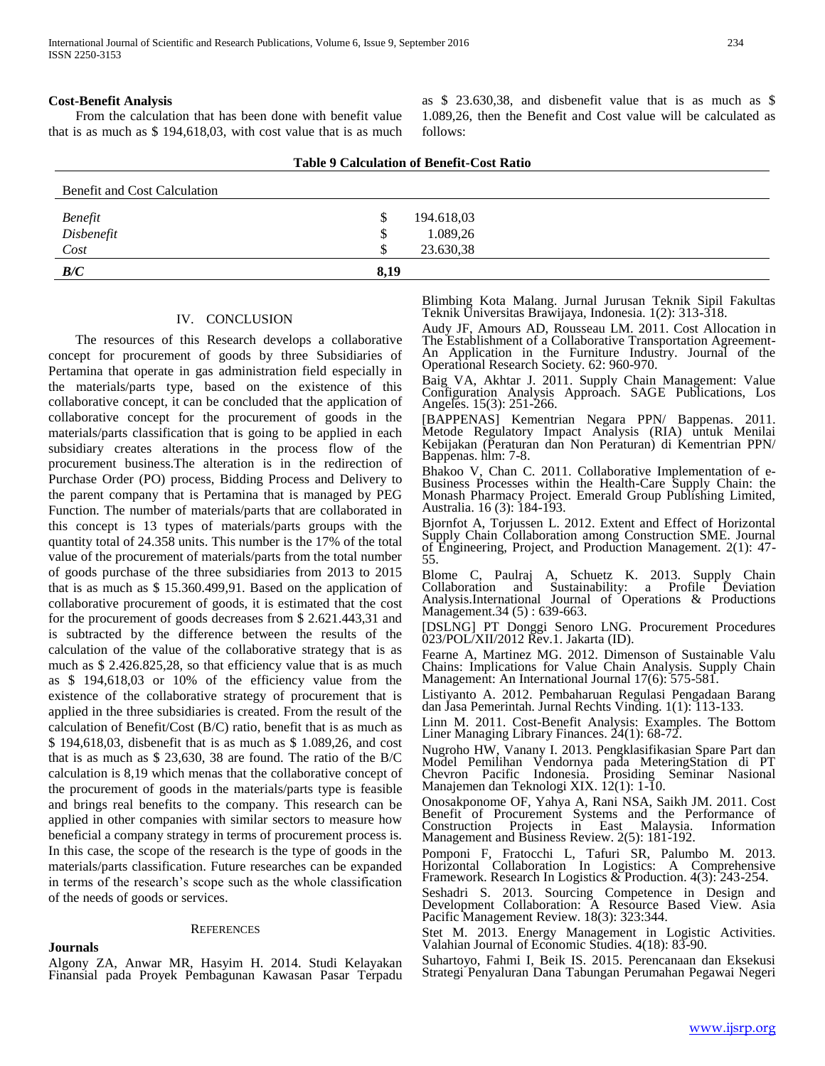#### **Cost-Benefit Analysis**

 From the calculation that has been done with benefit value that is as much as \$ 194,618,03, with cost value that is as much as \$ 23.630,38, and disbenefit value that is as much as \$ 1.089,26, then the Benefit and Cost value will be calculated as follows:

| <b>Table 9 Calculation of Benefit-Cost Ratio</b> |      |            |  |  |  |
|--------------------------------------------------|------|------------|--|--|--|
| Benefit and Cost Calculation                     |      |            |  |  |  |
|                                                  | S    | 194.618,03 |  |  |  |
| Benefit<br>Disbenefit                            | \$   | 1.089,26   |  |  |  |
| Cost                                             |      | 23.630,38  |  |  |  |
| B/C                                              | 8,19 |            |  |  |  |

#### IV. CONCLUSION

 The resources of this Research develops a collaborative concept for procurement of goods by three Subsidiaries of Pertamina that operate in gas administration field especially in the materials/parts type, based on the existence of this collaborative concept, it can be concluded that the application of collaborative concept for the procurement of goods in the materials/parts classification that is going to be applied in each subsidiary creates alterations in the process flow of the procurement business.The alteration is in the redirection of Purchase Order (PO) process, Bidding Process and Delivery to the parent company that is Pertamina that is managed by PEG Function. The number of materials/parts that are collaborated in this concept is 13 types of materials/parts groups with the quantity total of 24.358 units. This number is the 17% of the total value of the procurement of materials/parts from the total number of goods purchase of the three subsidiaries from 2013 to 2015 that is as much as \$ 15.360.499,91. Based on the application of collaborative procurement of goods, it is estimated that the cost for the procurement of goods decreases from \$ 2.621.443,31 and is subtracted by the difference between the results of the calculation of the value of the collaborative strategy that is as much as \$ 2.426.825,28, so that efficiency value that is as much as \$ 194,618,03 or 10% of the efficiency value from the existence of the collaborative strategy of procurement that is applied in the three subsidiaries is created. From the result of the calculation of Benefit/Cost (B/C) ratio, benefit that is as much as \$ 194,618,03, disbenefit that is as much as \$ 1.089,26, and cost that is as much as \$ 23,630, 38 are found. The ratio of the B/C calculation is 8,19 which menas that the collaborative concept of the procurement of goods in the materials/parts type is feasible and brings real benefits to the company. This research can be applied in other companies with similar sectors to measure how beneficial a company strategy in terms of procurement process is. In this case, the scope of the research is the type of goods in the materials/parts classification. Future researches can be expanded in terms of the research's scope such as the whole classification of the needs of goods or services.

#### **REFERENCES**

#### **Journals**

Algony ZA, Anwar MR, Hasyim H. 2014. Studi Kelayakan Finansial pada Proyek Pembagunan Kawasan Pasar Terpadu Blimbing Kota Malang. Jurnal Jurusan Teknik Sipil Fakultas Teknik Universitas Brawijaya, Indonesia. 1(2): 313-318.

Audy JF, Amours AD, Rousseau LM. 2011. Cost Allocation in The Establishment of a Collaborative Transportation Agreement-An Application in the Furniture Industry. Journal of the Operational Research Society. 62: 960-970.

Baig VA, Akhtar J. 2011. Supply Chain Management: Value Configuration Analysis Approach. SAGE Publications, Los Angeles. 15(3): 251-266.

[BAPPENAS] Kementrian Negara PPN/ Bappenas. 2011. Metode Regulatory Impact Analysis (RIA) untuk Menilai Kebijakan (Peraturan dan Non Peraturan) di Kementrian PPN/ Bappenas. hlm: 7-8.

Bhakoo V, Chan C. 2011. Collaborative Implementation of e-Business Processes within the Health-Care Supply Chain: the Monash Pharmacy Project. Emerald Group Publishing Limited, Australia. 16 (3): 184-193.

Bjornfot A, Torjussen L. 2012. Extent and Effect of Horizontal Supply Chain Collaboration among Construction SME. Journal of Engineering, Project, and Production Management. 2(1): 47- 55.

Blome C, Paulraj A, Schuetz K. 2013. Supply Chain Collaboration and Sustainability: a Profile Deviation Analysis.International Journal of Operations & Productions Management.34 (5): 639-663.

[DSLNG] PT Donggi Senoro LNG. Procurement Procedures 023/POL/XII/2012 Rev.1. Jakarta (ID).

Fearne A, Martinez MG. 2012. Dimenson of Sustainable Valu Chains: Implications for Value Chain Analysis. Supply Chain Management: An International Journal 17(6): 575-581.

Listiyanto A. 2012. Pembaharuan Regulasi Pengadaan Barang dan Jasa Pemerintah. Jurnal Rechts Vinding. 1(1): 113-133.

Linn M. 2011. Cost-Benefit Analysis: Examples. The Bottom Liner Managing Library Finances. 24(1): 68-72.

Nugroho HW, Vanany I. 2013. Pengklasifikasian Spare Part dan Model Pemilihan Vendornya pada MeteringStation di PT Chevron Pacific Indonesia. Prosiding Seminar Nasional Manajemen dan Teknologi XIX. 12(1): 1-10.

Onosakponome OF, Yahya A, Rani NSA, Saikh JM. 2011. Cost Benefit of Procurement Systems and the Performance of Construction Projects in East Malaysia. Information Construction Projects in East Malaysia. Information Management and Business Review. 2(5): 181-192.

Pomponi F, Fratocchi L, Tafuri SR, Palumbo M. 2013. Horizontal Collaboration In Logistics: A Comprehensive Framework. Research In Logistics & Production. 4(3): 243-254.

Seshadri S. 2013. Sourcing Competence in Design and Development Collaboration: A Resource Based View. Asia Pacific Management Review. 18(3): 323:344.

Stet M. 2013. Energy Management in Logistic Activities. Valahian Journal of Economic Studies. 4(18): 83-90.

Suhartoyo, Fahmi I, Beik IS. 2015. Perencanaan dan Eksekusi Strategi Penyaluran Dana Tabungan Perumahan Pegawai Negeri